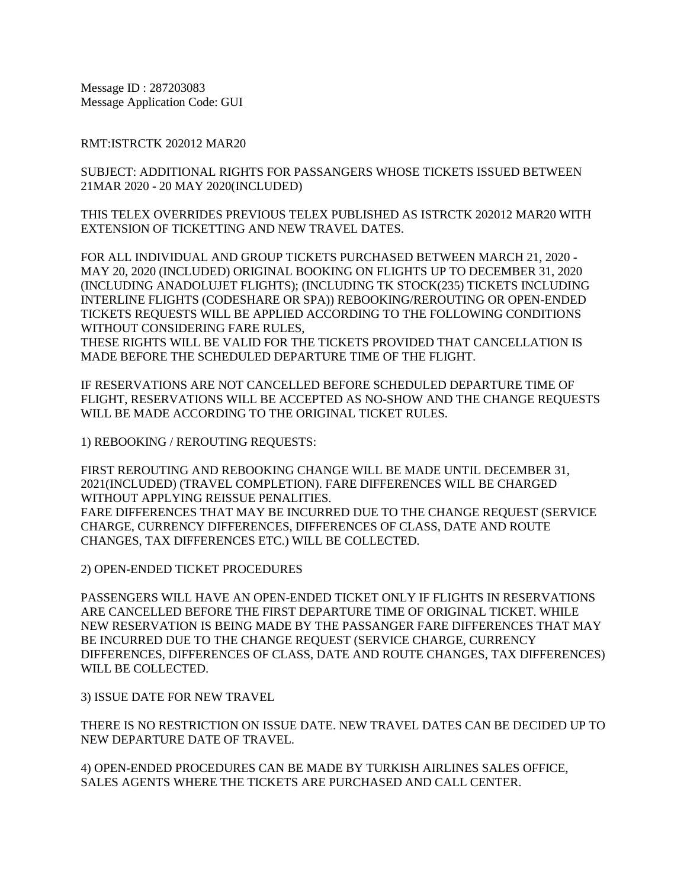Message ID : 287203083 Message Application Code: GUI

RMT:ISTRCTK 202012 MAR20

SUBJECT: ADDITIONAL RIGHTS FOR PASSANGERS WHOSE TICKETS ISSUED BETWEEN 21MAR 2020 - 20 MAY 2020(INCLUDED)

THIS TELEX OVERRIDES PREVIOUS TELEX PUBLISHED AS ISTRCTK 202012 MAR20 WITH EXTENSION OF TICKETTING AND NEW TRAVEL DATES.

FOR ALL INDIVIDUAL AND GROUP TICKETS PURCHASED BETWEEN MARCH 21, 2020 - MAY 20, 2020 (INCLUDED) ORIGINAL BOOKING ON FLIGHTS UP TO DECEMBER 31, 2020 (INCLUDING ANADOLUJET FLIGHTS); (INCLUDING TK STOCK(235) TICKETS INCLUDING INTERLINE FLIGHTS (CODESHARE OR SPA)) REBOOKING/REROUTING OR OPEN-ENDED TICKETS REQUESTS WILL BE APPLIED ACCORDING TO THE FOLLOWING CONDITIONS WITHOUT CONSIDERING FARE RULES,

THESE RIGHTS WILL BE VALID FOR THE TICKETS PROVIDED THAT CANCELLATION IS MADE BEFORE THE SCHEDULED DEPARTURE TIME OF THE FLIGHT.

IF RESERVATIONS ARE NOT CANCELLED BEFORE SCHEDULED DEPARTURE TIME OF FLIGHT, RESERVATIONS WILL BE ACCEPTED AS NO-SHOW AND THE CHANGE REQUESTS WILL BE MADE ACCORDING TO THE ORIGINAL TICKET RULES.

1) REBOOKING / REROUTING REQUESTS:

FIRST REROUTING AND REBOOKING CHANGE WILL BE MADE UNTIL DECEMBER 31, 2021(INCLUDED) (TRAVEL COMPLETION). FARE DIFFERENCES WILL BE CHARGED WITHOUT APPLYING REISSUE PENALITIES. FARE DIFFERENCES THAT MAY BE INCURRED DUE TO THE CHANGE REQUEST (SERVICE CHARGE, CURRENCY DIFFERENCES, DIFFERENCES OF CLASS, DATE AND ROUTE CHANGES, TAX DIFFERENCES ETC.) WILL BE COLLECTED.

2) OPEN-ENDED TICKET PROCEDURES

PASSENGERS WILL HAVE AN OPEN-ENDED TICKET ONLY IF FLIGHTS IN RESERVATIONS ARE CANCELLED BEFORE THE FIRST DEPARTURE TIME OF ORIGINAL TICKET. WHILE NEW RESERVATION IS BEING MADE BY THE PASSANGER FARE DIFFERENCES THAT MAY BE INCURRED DUE TO THE CHANGE REQUEST (SERVICE CHARGE, CURRENCY DIFFERENCES, DIFFERENCES OF CLASS, DATE AND ROUTE CHANGES, TAX DIFFERENCES) WILL BE COLLECTED.

3) ISSUE DATE FOR NEW TRAVEL

THERE IS NO RESTRICTION ON ISSUE DATE. NEW TRAVEL DATES CAN BE DECIDED UP TO NEW DEPARTURE DATE OF TRAVEL.

4) OPEN-ENDED PROCEDURES CAN BE MADE BY TURKISH AIRLINES SALES OFFICE, SALES AGENTS WHERE THE TICKETS ARE PURCHASED AND CALL CENTER.